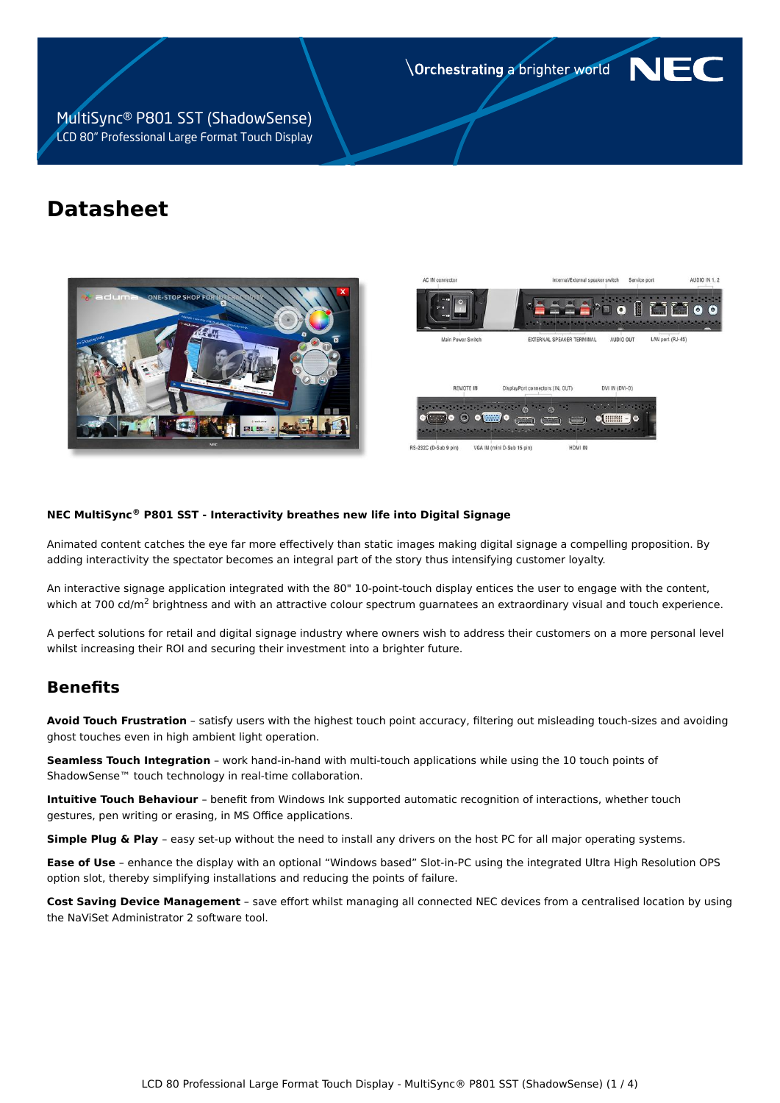**Orchestrating a brighter world** 

MultiSync® P801 SST (ShadowSense) LCD 80" Professional Large Format Touch Display

# **Datasheet**





NE

#### **NEC MultiSync® P801 SST - Interactivity breathes new life into Digital Signage**

Animated content catches the eye far more effectively than static images making digital signage a compelling proposition. By adding interactivity the spectator becomes an integral part of the story thus intensifying customer loyalty.

An interactive signage application integrated with the 80" 10-point-touch display entices the user to engage with the content, which at 700 cd/m<sup>2</sup> brightness and with an attractive colour spectrum guarnatees an extraordinary visual and touch experience.

A perfect solutions for retail and digital signage industry where owners wish to address their customers on a more personal level whilst increasing their ROI and securing their investment into a brighter future.

## **Benefits**

**Avoid Touch Frustration** – satisfy users with the highest touch point accuracy, filtering out misleading touch-sizes and avoiding ghost touches even in high ambient light operation.

**Seamless Touch Integration** – work hand-in-hand with multi-touch applications while using the 10 touch points of ShadowSense™ touch technology in real-time collaboration.

**Intuitive Touch Behaviour** – benefit from Windows Ink supported automatic recognition of interactions, whether touch gestures, pen writing or erasing, in MS Office applications.

**Simple Plug & Play** – easy set-up without the need to install any drivers on the host PC for all major operating systems.

**Ease of Use** – enhance the display with an optional "Windows based" Slot-in-PC using the integrated Ultra High Resolution OPS option slot, thereby simplifying installations and reducing the points of failure.

**Cost Saving Device Management** – save effort whilst managing all connected NEC devices from a centralised location by using the NaViSet Administrator 2 software tool.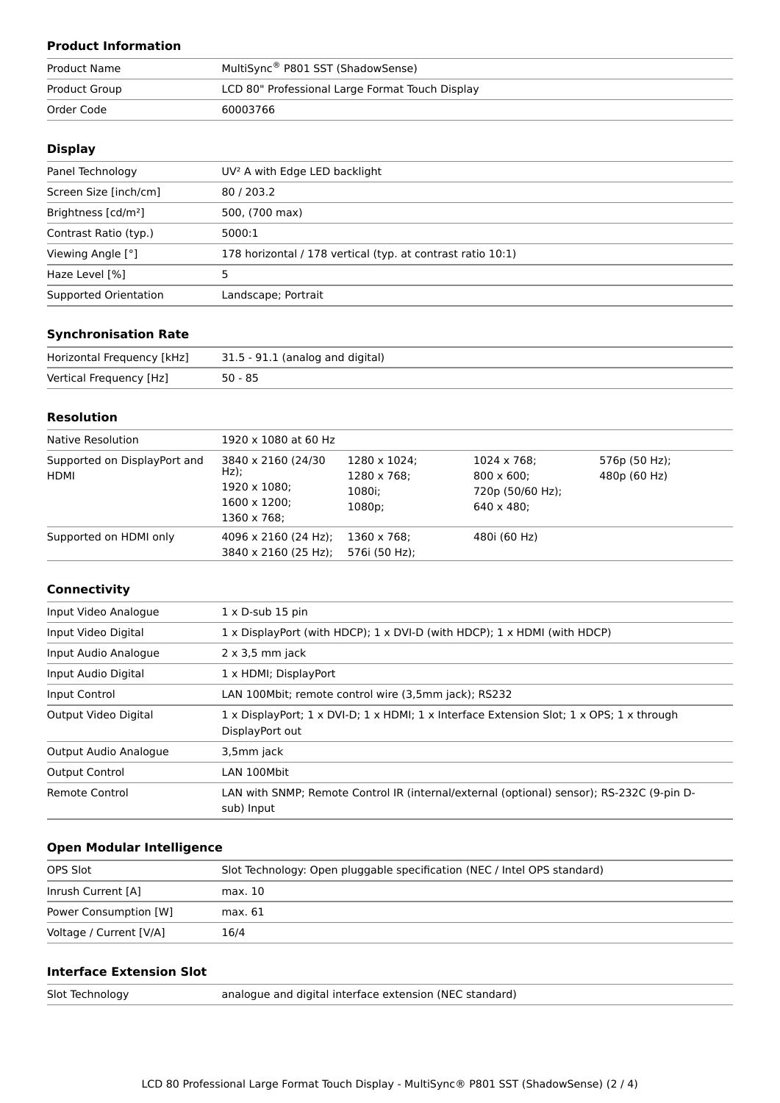### **Product Information**

| Product Name  | MultiSync® P801 SST (ShadowSense)               |
|---------------|-------------------------------------------------|
| Product Group | LCD 80" Professional Large Format Touch Display |
| Order Code    | 60003766                                        |

### **Display**

| Panel Technology                | UV <sup>2</sup> A with Edge LED backlight                   |  |
|---------------------------------|-------------------------------------------------------------|--|
| Screen Size [inch/cm]           | 80/203.2                                                    |  |
| Brightness [cd/m <sup>2</sup> ] | 500, (700 max)                                              |  |
| Contrast Ratio (typ.)           | 5000:1                                                      |  |
| Viewing Angle [°]               | 178 horizontal / 178 vertical (typ. at contrast ratio 10:1) |  |
| Haze Level [%]                  |                                                             |  |
| Supported Orientation           | Landscape; Portrait                                         |  |

#### **Synchronisation Rate**

| Horizontal Frequency [kHz] | 31.5 - 91.1 (analog and digital) |
|----------------------------|----------------------------------|
| Vertical Frequency [Hz]    | $50 - 85$                        |

#### **Resolution**

| Native Resolution                           | 1920 x 1080 at 60 Hz                                                                  |                                                 |                                                                                     |                                  |
|---------------------------------------------|---------------------------------------------------------------------------------------|-------------------------------------------------|-------------------------------------------------------------------------------------|----------------------------------|
| Supported on DisplayPort and<br><b>HDMI</b> | 3840 x 2160 (24/30)<br>$Hz$ );<br>1920 x 1080;<br>$1600 \times 1200$ ;<br>1360 x 768; | 1280 x 1024;<br>1280 x 768:<br>1080i;<br>1080p; | $1024 \times 768$ ;<br>$800 \times 600$ :<br>720p (50/60 Hz);<br>$640 \times 480$ : | 576 $p(50 Hz)$ ;<br>480p (60 Hz) |
| Supported on HDMI only                      | $4096 \times 2160$ (24 Hz);<br>3840 x 2160 (25 Hz);                                   | $1360 \times 768$ :<br>576i (50 Hz);            | 480i (60 Hz)                                                                        |                                  |

### **Connectivity**

| Input Video Analogue  | $1 \times D$ -sub 15 pin                                                                                    |  |
|-----------------------|-------------------------------------------------------------------------------------------------------------|--|
| Input Video Digital   | $1 \times$ DisplayPort (with HDCP); $1 \times$ DVI-D (with HDCP); $1 \times$ HDMI (with HDCP)               |  |
| Input Audio Analogue  | $2 \times 3.5$ mm jack                                                                                      |  |
| Input Audio Digital   | 1 x HDMI; DisplayPort                                                                                       |  |
| Input Control         | LAN 100Mbit; remote control wire (3,5mm jack); RS232                                                        |  |
| Output Video Digital  | 1 x DisplayPort; 1 x DVI-D; 1 x HDMI; 1 x Interface Extension Slot; 1 x OPS; 1 x through<br>DisplayPort out |  |
| Output Audio Analogue | 3,5mm jack                                                                                                  |  |
| <b>Output Control</b> | LAN 100Mbit                                                                                                 |  |
| Remote Control        | LAN with SNMP; Remote Control IR (internal/external (optional) sensor); RS-232C (9-pin D-<br>sub) Input     |  |

### **Open Modular Intelligence**

| OPS Slot                | Slot Technology: Open pluggable specification (NEC / Intel OPS standard) |
|-------------------------|--------------------------------------------------------------------------|
| Inrush Current [A]      | max. 10                                                                  |
| Power Consumption [W]   | max. 61                                                                  |
| Voltage / Current [V/A] | 16/4                                                                     |

#### **Interface Extension Slot**

| Slot Technology | analogue and digital interface extension (NEC standard) |
|-----------------|---------------------------------------------------------|
|-----------------|---------------------------------------------------------|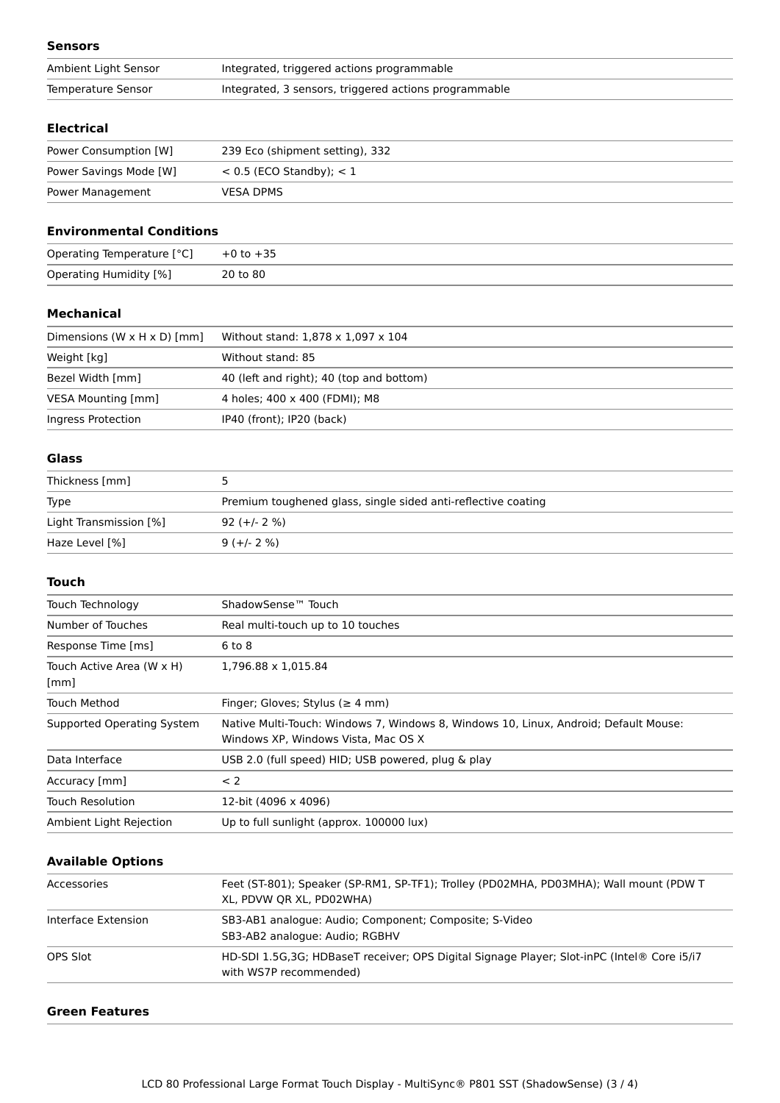#### **Sensors**

| Ambient Light Sensor | Integrated, triggered actions programmable            |
|----------------------|-------------------------------------------------------|
| Temperature Sensor   | Integrated, 3 sensors, triggered actions programmable |

#### **Electrical**

| Power Consumption [W]  | 239 Eco (shipment setting), 332 |
|------------------------|---------------------------------|
| Power Savings Mode [W] | $< 0.5$ (ECO Standby); $< 1$    |
| Power Management       | <b>VESA DPMS</b>                |

#### **Environmental Conditions**

| Operating Temperature [°C] | $+0$ to $+35$ |
|----------------------------|---------------|
| Operating Humidity [%]     | 20 to 80      |

#### **Mechanical**

| Dimensions (W $\times$ H $\times$ D) [mm] | Without stand: 1,878 x 1,097 x 104       |
|-------------------------------------------|------------------------------------------|
| Weight [kg]                               | Without stand: 85                        |
| Bezel Width [mm]                          | 40 (left and right); 40 (top and bottom) |
| VESA Mounting [mm]                        | 4 holes; 400 x 400 (FDMI); M8            |
| Ingress Protection                        | IP40 (front); IP20 (back)                |

#### **Glass**

| Thickness [mm]         |                                                               |
|------------------------|---------------------------------------------------------------|
| <b>Type</b>            | Premium toughened glass, single sided anti-reflective coating |
| Light Transmission [%] | $92 (+/- 2 %)$                                                |
| Haze Level [%]         | $9 (+/- 2 %)$                                                 |

#### **Touch**

| Touch Technology                  | ShadowSense <sup>™</sup> Touch                                                                                              |
|-----------------------------------|-----------------------------------------------------------------------------------------------------------------------------|
| Number of Touches                 | Real multi-touch up to 10 touches                                                                                           |
| Response Time [ms]                | $6$ to $8$                                                                                                                  |
| Touch Active Area (W x H)<br>[mm] | 1,796.88 x 1,015.84                                                                                                         |
| Touch Method                      | Finger; Gloves; Stylus ( $\geq 4$ mm)                                                                                       |
| Supported Operating System        | Native Multi-Touch: Windows 7, Windows 8, Windows 10, Linux, Android; Default Mouse:<br>Windows XP. Windows Vista. Mac OS X |
| Data Interface                    | USB 2.0 (full speed) HID; USB powered, plug & play                                                                          |
| Accuracy [mm]                     | < 2                                                                                                                         |
| <b>Touch Resolution</b>           | 12-bit (4096 x 4096)                                                                                                        |
| Ambient Light Rejection           | Up to full sunlight (approx. 100000 lux)                                                                                    |
|                                   |                                                                                                                             |

### **Available Options**

| Accessories         | Feet (ST-801); Speaker (SP-RM1, SP-TF1); Trolley (PD02MHA, PD03MHA); Wall mount (PDW T<br>XL, PDVW OR XL, PD02WHA)   |
|---------------------|----------------------------------------------------------------------------------------------------------------------|
| Interface Extension | SB3-AB1 analogue: Audio; Component; Composite; S-Video<br>SB3-AB2 analogue: Audio; RGBHV                             |
| OPS Slot            | HD-SDI 1.5G,3G; HDBaseT receiver; OPS Digital Signage Player; Slot-inPC (Intel® Core i5/i7<br>with WS7P recommended) |

#### **Green Features**